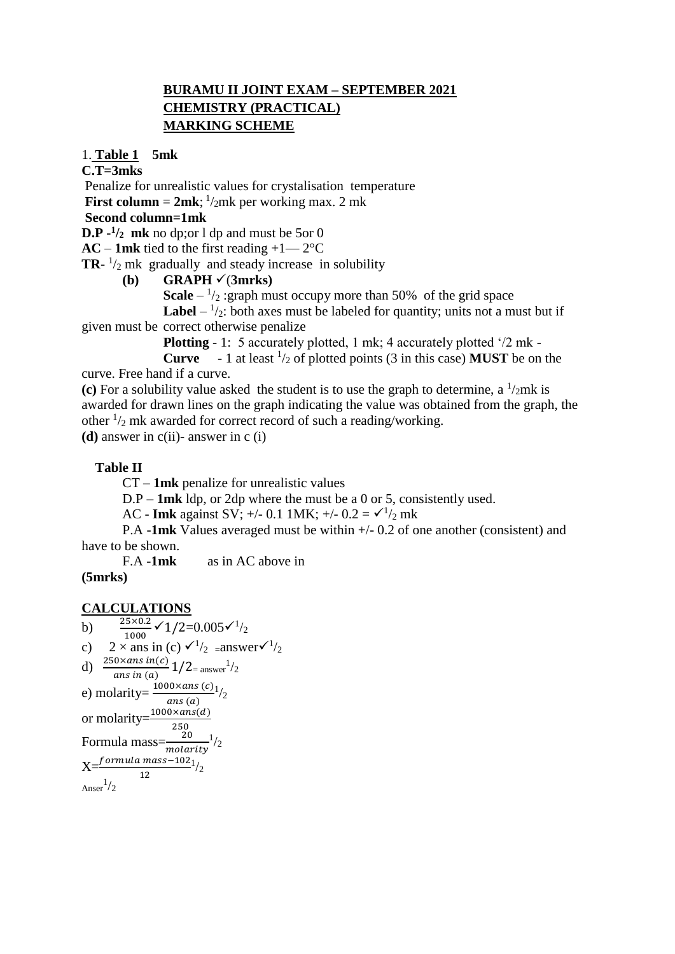### **BURAMU II JOINT EXAM – SEPTEMBER 2021 CHEMISTRY (PRACTICAL) MARKING SCHEME**

#### 1. **Table 1 5mk**

#### **C.T=3mks**

Penalize for unrealistic values for crystalisation temperature **First column =**  $2mk$ **;**  $\frac{1}{2mk}$  per working max. 2 mk

## **Second column=1mk**

**D.P**  $-1/2$  **mk** no dp; or 1 dp and must be 5or 0

 $AC - 1$ mk tied to the first reading  $+1$ —2°C

**TR**- $\frac{1}{2}$  mk gradually and steady increase in solubility

#### **(b) GRAPH**  $\checkmark$  (3mrks)

**Scale**  $- \frac{1}{2}$ : graph must occupy more than 50% of the grid space

**Label**  $- \frac{1}{2}$ : both axes must be labeled for quantity; units not a must but if given must be correct otherwise penalize

**Plotting** - 1: 5 accurately plotted, 1 mk; 4 accurately plotted '/2 mk -

**Curve**  $-1$  at least  $\frac{1}{2}$  of plotted points (3 in this case) **MUST** be on the curve. Free hand if a curve.

(c) For a solubility value asked the student is to use the graph to determine, a  $\frac{1}{2}$ mk is awarded for drawn lines on the graph indicating the value was obtained from the graph, the other  $\frac{1}{2}$  mk awarded for correct record of such a reading/working.

**(d)** answer in c(ii)- answer in c (i)

#### **Table II**

CT – **1mk** penalize for unrealistic values

D.P – **1mk** ldp, or 2dp where the must be a 0 or 5, consistently used.

AC - **Imk** against SV;  $+/- 0.1$  1MK;  $+/- 0.2 = \sqrt{1/2}$  mk

P.A -**1mk** Values averaged must be within +/- 0.2 of one another (consistent) and have to be shown.

F.A -**1mk** as in AC above in

#### **(5mrks)**

#### **CALCULATIONS**

b) 
$$
\frac{25 \times 0.2}{1000} \times 1/2 = 0.005 \times 1/2
$$
  
\nc) 
$$
2 \times \text{ans in (c) } \times 1/2 = \text{answer} \times 1/2
$$
  
\nd) 
$$
\frac{250 \times \text{ans in (c)} }{2} = 1/2 = \text{answer} \frac{1}{2}
$$
  
\ne) 
$$
\text{molarity} = \frac{1000 \times \text{ans (c)} }{\text{ans (a)}}
$$
  
\nor 
$$
\text{molarity} = \frac{1000 \times \text{ans (d)}}{250}
$$
  
\nFormula 
$$
\text{mass} = \frac{20}{\text{molarity}} \frac{1}{2}
$$
  
\n
$$
X = \frac{\text{formula mass} - 102}{12} \frac{1}{2}
$$
  
\nAnswer<sup>1</sup>/2